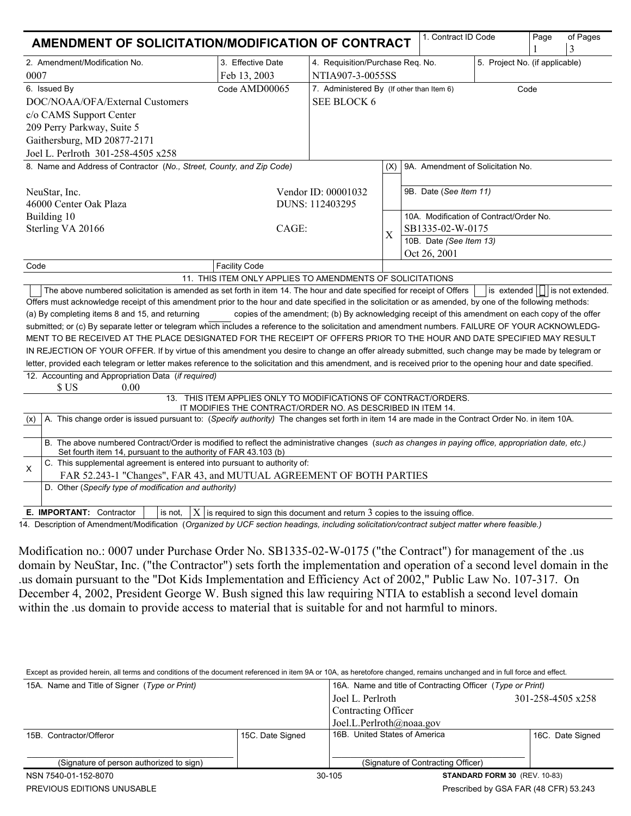| AMENDMENT OF SOLICITATION/MODIFICATION OF CONTRACT                                                                                                                                                                                                                                                                 |                                                                                                                                |                                                                    |                                                   |                                         | 1. Contract ID Code               | Page | of Pages<br>3                    |  |
|--------------------------------------------------------------------------------------------------------------------------------------------------------------------------------------------------------------------------------------------------------------------------------------------------------------------|--------------------------------------------------------------------------------------------------------------------------------|--------------------------------------------------------------------|---------------------------------------------------|-----------------------------------------|-----------------------------------|------|----------------------------------|--|
| 2. Amendment/Modification No.                                                                                                                                                                                                                                                                                      | 3. Effective Date                                                                                                              | 4. Requisition/Purchase Req. No.<br>5. Project No. (if applicable) |                                                   |                                         |                                   |      |                                  |  |
| 0007                                                                                                                                                                                                                                                                                                               | Feb 13, 2003                                                                                                                   | NTIA907-3-0055SS                                                   |                                                   |                                         |                                   |      |                                  |  |
| 6. Issued By                                                                                                                                                                                                                                                                                                       | Code AMD00065                                                                                                                  |                                                                    | 7. Administered By (If other than Item 6)<br>Code |                                         |                                   |      |                                  |  |
| DOC/NOAA/OFA/External Customers                                                                                                                                                                                                                                                                                    |                                                                                                                                | <b>SEE BLOCK 6</b>                                                 |                                                   |                                         |                                   |      |                                  |  |
| c/o CAMS Support Center                                                                                                                                                                                                                                                                                            |                                                                                                                                |                                                                    |                                                   |                                         |                                   |      |                                  |  |
| 209 Perry Parkway, Suite 5                                                                                                                                                                                                                                                                                         |                                                                                                                                |                                                                    |                                                   |                                         |                                   |      |                                  |  |
| Gaithersburg, MD 20877-2171                                                                                                                                                                                                                                                                                        |                                                                                                                                |                                                                    |                                                   |                                         |                                   |      |                                  |  |
| Joel L. Perlroth 301-258-4505 x258                                                                                                                                                                                                                                                                                 |                                                                                                                                |                                                                    |                                                   |                                         |                                   |      |                                  |  |
| 8. Name and Address of Contractor (No., Street, County, and Zip Code)                                                                                                                                                                                                                                              |                                                                                                                                |                                                                    | (X)                                               |                                         | 9A. Amendment of Solicitation No. |      |                                  |  |
| NeuStar, Inc.<br>Vendor ID: 00001032                                                                                                                                                                                                                                                                               |                                                                                                                                |                                                                    |                                                   | 9B. Date (See Item 11)                  |                                   |      |                                  |  |
| 46000 Center Oak Plaza                                                                                                                                                                                                                                                                                             |                                                                                                                                | DUNS: 112403295                                                    |                                                   |                                         |                                   |      |                                  |  |
| Building 10                                                                                                                                                                                                                                                                                                        |                                                                                                                                |                                                                    |                                                   | 10A. Modification of Contract/Order No. |                                   |      |                                  |  |
| Sterling VA 20166                                                                                                                                                                                                                                                                                                  | CAGE:                                                                                                                          |                                                                    | SB1335-02-W-0175<br>X                             |                                         |                                   |      |                                  |  |
|                                                                                                                                                                                                                                                                                                                    |                                                                                                                                |                                                                    |                                                   | 10B. Date (See Item 13)                 |                                   |      |                                  |  |
|                                                                                                                                                                                                                                                                                                                    |                                                                                                                                |                                                                    |                                                   | Oct 26, 2001                            |                                   |      |                                  |  |
| Code                                                                                                                                                                                                                                                                                                               | <b>Facility Code</b>                                                                                                           |                                                                    |                                                   |                                         |                                   |      |                                  |  |
|                                                                                                                                                                                                                                                                                                                    | 11. THIS ITEM ONLY APPLIES TO AMENDMENTS OF SOLICITATIONS                                                                      |                                                                    |                                                   |                                         |                                   |      |                                  |  |
| The above numbered solicitation is amended as set forth in item 14. The hour and date specified for receipt of Offers                                                                                                                                                                                              |                                                                                                                                |                                                                    |                                                   |                                         |                                   |      | is extended     is not extended. |  |
| Offers must acknowledge receipt of this amendment prior to the hour and date specified in the solicitation or as amended, by one of the following methods:<br>copies of the amendment; (b) By acknowledging receipt of this amendment on each copy of the offer<br>(a) By completing items 8 and 15, and returning |                                                                                                                                |                                                                    |                                                   |                                         |                                   |      |                                  |  |
| submitted; or (c) By separate letter or telegram which includes a reference to the solicitation and amendment numbers. FAILURE OF YOUR ACKNOWLEDG-                                                                                                                                                                 |                                                                                                                                |                                                                    |                                                   |                                         |                                   |      |                                  |  |
|                                                                                                                                                                                                                                                                                                                    |                                                                                                                                |                                                                    |                                                   |                                         |                                   |      |                                  |  |
| MENT TO BE RECEIVED AT THE PLACE DESIGNATED FOR THE RECEIPT OF OFFERS PRIOR TO THE HOUR AND DATE SPECIFIED MAY RESULT<br>IN REJECTION OF YOUR OFFER. If by virtue of this amendment you desire to change an offer already submitted, such change may be made by telegram or                                        |                                                                                                                                |                                                                    |                                                   |                                         |                                   |      |                                  |  |
| letter, provided each telegram or letter makes reference to the solicitation and this amendment, and is received prior to the opening hour and date specified.                                                                                                                                                     |                                                                                                                                |                                                                    |                                                   |                                         |                                   |      |                                  |  |
| 12. Accounting and Appropriation Data (if required)                                                                                                                                                                                                                                                                |                                                                                                                                |                                                                    |                                                   |                                         |                                   |      |                                  |  |
| \$US<br>0.00                                                                                                                                                                                                                                                                                                       |                                                                                                                                |                                                                    |                                                   |                                         |                                   |      |                                  |  |
|                                                                                                                                                                                                                                                                                                                    | 13. THIS ITEM APPLIES ONLY TO MODIFICATIONS OF CONTRACT/ORDERS.<br>IT MODIFIES THE CONTRACT/ORDER NO. AS DESCRIBED IN ITEM 14. |                                                                    |                                                   |                                         |                                   |      |                                  |  |
| A. This change order is issued pursuant to: (Specify authority) The changes set forth in item 14 are made in the Contract Order No. in item 10A.<br>(x)                                                                                                                                                            |                                                                                                                                |                                                                    |                                                   |                                         |                                   |      |                                  |  |
| B. The above numbered Contract/Order is modified to reflect the administrative changes (such as changes in paying office, appropriation date, etc.)<br>Set fourth item 14, pursuant to the authority of FAR 43.103 (b)                                                                                             |                                                                                                                                |                                                                    |                                                   |                                         |                                   |      |                                  |  |
| C. This supplemental agreement is entered into pursuant to authority of:<br>х                                                                                                                                                                                                                                      |                                                                                                                                |                                                                    |                                                   |                                         |                                   |      |                                  |  |
| FAR 52.243-1 "Changes", FAR 43, and MUTUAL AGREEMENT OF BOTH PARTIES                                                                                                                                                                                                                                               |                                                                                                                                |                                                                    |                                                   |                                         |                                   |      |                                  |  |
| D. Other (Specify type of modification and authority)                                                                                                                                                                                                                                                              |                                                                                                                                |                                                                    |                                                   |                                         |                                   |      |                                  |  |
| <b>E. IMPORTANT: Contractor</b>                                                                                                                                                                                                                                                                                    | is not, $ X $ is required to sign this document and return 3 copies to the issuing office.                                     |                                                                    |                                                   |                                         |                                   |      |                                  |  |
| 1. December of Amendment (Medification (Organized by UCE easting beadings, including coligitation (contract oubject mother whore foogible)                                                                                                                                                                         |                                                                                                                                |                                                                    |                                                   |                                         |                                   |      |                                  |  |

14. Description of Amendment/Modification (*Organized by UCF section headings, including solicitation/contract subject matter where feasible.)* 

Modification no.: 0007 under Purchase Order No. SB1335-02-W-0175 ("the Contract") for management of the .us domain by NeuStar, Inc. ("the Contractor") sets forth the implementation and operation of a second level domain in the .us domain pursuant to the "Dot Kids Implementation and Efficiency Act of 2002," Public Law No. 107-317. On December 4, 2002, President George W. Bush signed this law requiring NTIA to establish a second level domain within the .us domain to provide access to material that is suitable for and not harmful to minors.

Except as provided herein, all terms and conditions of the document referenced in item 9A or 10A, as heretofore changed, remains unchanged and in full force and effect.

| 15A. Name and Title of Signer (Type or Print) |                                                | 16A. Name and title of Contracting Officer (Type or Print) |                               |                   |  |  |
|-----------------------------------------------|------------------------------------------------|------------------------------------------------------------|-------------------------------|-------------------|--|--|
|                                               |                                                | Joel L. Perlroth                                           |                               | 301-258-4505 x258 |  |  |
|                                               |                                                | Contracting Officer                                        |                               |                   |  |  |
|                                               |                                                | Joel.L.Perlroth@noaa.gov                                   |                               |                   |  |  |
| 15B. Contractor/Offeror                       | 15C. Date Signed                               |                                                            | 16B. United States of America |                   |  |  |
| (Signature of person authorized to sign)      |                                                | (Signature of Contracting Officer)                         |                               |                   |  |  |
| NSN 7540-01-152-8070                          | 30-105<br><b>STANDARD FORM 30 (REV. 10-83)</b> |                                                            |                               |                   |  |  |
| PREVIOUS EDITIONS UNUSABLE                    | Prescribed by GSA FAR (48 CFR) 53.243          |                                                            |                               |                   |  |  |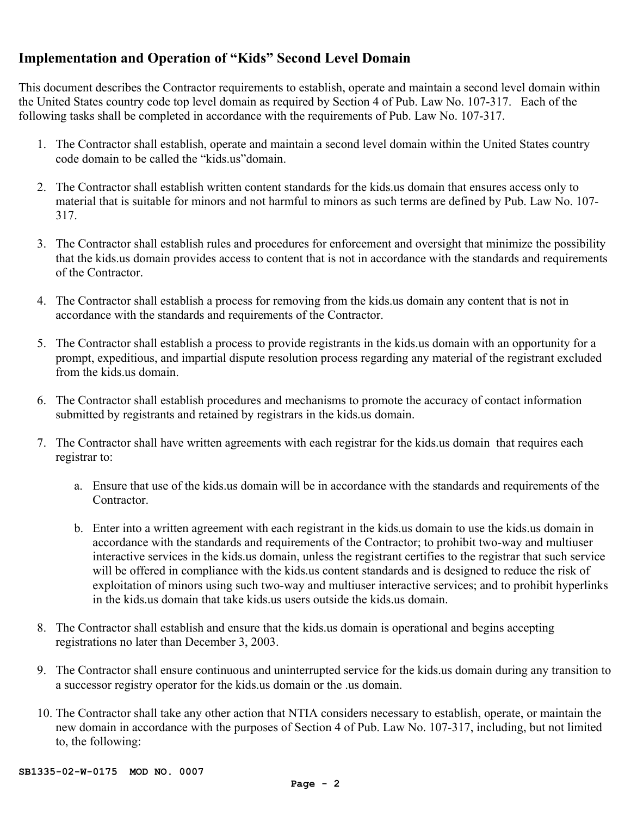## **Implementation and Operation of "Kids" Second Level Domain**

This document describes the Contractor requirements to establish, operate and maintain a second level domain within the United States country code top level domain as required by Section 4 of Pub. Law No. 107-317. Each of the following tasks shall be completed in accordance with the requirements of Pub. Law No. 107-317.

- 1. The Contractor shall establish, operate and maintain a second level domain within the United States country code domain to be called the "kids.us"domain.
- 2. The Contractor shall establish written content standards for the kids.us domain that ensures access only to material that is suitable for minors and not harmful to minors as such terms are defined by Pub. Law No. 107- 317.
- 3. The Contractor shall establish rules and procedures for enforcement and oversight that minimize the possibility that the kids.us domain provides access to content that is not in accordance with the standards and requirements of the Contractor.
- 4. The Contractor shall establish a process for removing from the kids.us domain any content that is not in accordance with the standards and requirements of the Contractor.
- 5. The Contractor shall establish a process to provide registrants in the kids.us domain with an opportunity for a prompt, expeditious, and impartial dispute resolution process regarding any material of the registrant excluded from the kids.us domain.
- 6. The Contractor shall establish procedures and mechanisms to promote the accuracy of contact information submitted by registrants and retained by registrars in the kids.us domain.
- 7. The Contractor shall have written agreements with each registrar for the kids.us domain that requires each registrar to:
	- a. Ensure that use of the kids.us domain will be in accordance with the standards and requirements of the Contractor.
	- b. Enter into a written agreement with each registrant in the kids.us domain to use the kids.us domain in accordance with the standards and requirements of the Contractor; to prohibit two-way and multiuser interactive services in the kids.us domain, unless the registrant certifies to the registrar that such service will be offered in compliance with the kids.us content standards and is designed to reduce the risk of exploitation of minors using such two-way and multiuser interactive services; and to prohibit hyperlinks in the kids us domain that take kids us users outside the kids us domain.
- 8. The Contractor shall establish and ensure that the kids.us domain is operational and begins accepting registrations no later than December 3, 2003.
- 9. The Contractor shall ensure continuous and uninterrupted service for the kids.us domain during any transition to a successor registry operator for the kids.us domain or the .us domain.
- 10. The Contractor shall take any other action that NTIA considers necessary to establish, operate, or maintain the new domain in accordance with the purposes of Section 4 of Pub. Law No. 107-317, including, but not limited to, the following: